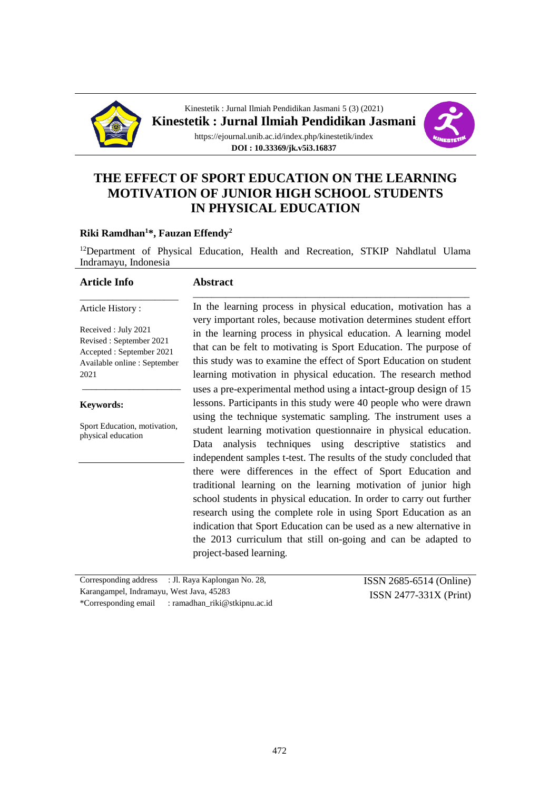



# **THE EFFECT OF SPORT EDUCATION ON THE LEARNING MOTIVATION OF JUNIOR HIGH SCHOOL STUDENTS IN PHYSICAL EDUCATION**

#### **Riki Ramdhan<sup>1</sup>\*, Fauzan Effendy<sup>2</sup>**

<sup>12</sup>Department of Physical Education, Health and Recreation, STKIP Nahdlatul Ulama Indramayu, Indonesia

#### **Article Info**

### **Abstract**

Article History :

Received : July 2021 Revised : September 2021 Accepted : September 2021 Available online : September 2021

\_\_\_\_\_\_\_\_\_\_\_\_\_\_\_\_\_\_\_\_\_

\_\_\_\_\_\_\_\_\_\_\_\_\_\_\_\_\_\_\_\_\_

#### **Keywords:**

Sport Education, motivation, physical education

\_\_\_\_\_\_\_\_\_\_\_\_\_\_\_\_\_\_\_\_\_\_\_\_\_\_\_\_\_\_\_\_\_\_\_\_\_\_\_\_\_\_\_\_\_\_\_\_\_\_\_\_\_\_\_\_\_\_\_ In the learning process in physical education, motivation has a very important roles, because motivation determines student effort in the learning process in physical education. A learning model that can be felt to motivating is Sport Education. The purpose of this study was to examine the effect of Sport Education on student learning motivation in physical education. The research method uses a pre-experimental method using a intact-group design of 15 lessons. Participants in this study were 40 people who were drawn using the technique systematic sampling. The instrument uses a student learning motivation questionnaire in physical education. Data analysis techniques using descriptive statistics and independent samples t-test. The results of the study concluded that there were differences in the effect of Sport Education and traditional learning on the learning motivation of junior high school students in physical education. In order to carry out further research using the complete role in using Sport Education as an indication that Sport Education can be used as a new alternative in the 2013 curriculum that still on-going and can be adapted to project-based learning.

Corresponding address : Jl. Raya Kaplongan No. 28, Karangampel, Indramayu, West Java, 45283 \*Corresponding email : ramadhan\_riki@stkipnu.ac.id

ISSN 2685-6514 (Online) ISSN 2477-331X (Print)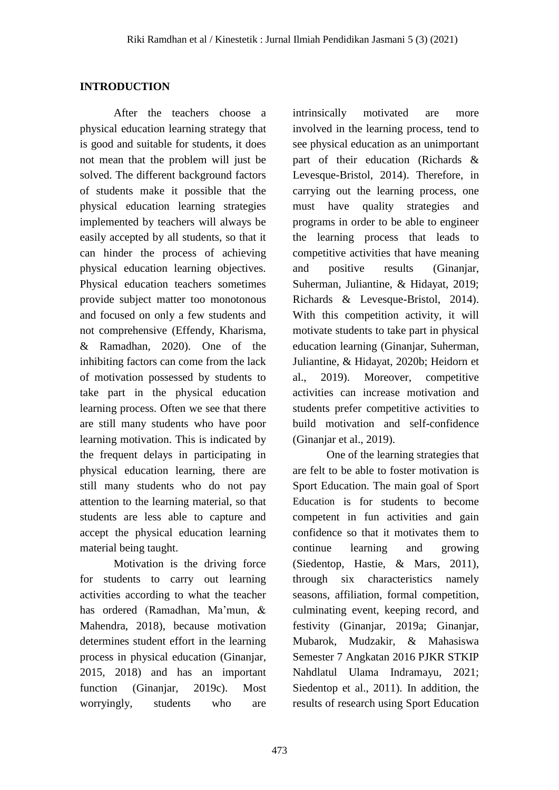# **INTRODUCTION**

After the teachers choose a physical education learning strategy that is good and suitable for students, it does not mean that the problem will just be solved. The different background factors of students make it possible that the physical education learning strategies implemented by teachers will always be easily accepted by all students, so that it can hinder the process of achieving physical education learning objectives. Physical education teachers sometimes provide subject matter too monotonous and focused on only a few students and not comprehensive (Effendy, Kharisma, & Ramadhan, 2020). One of the inhibiting factors can come from the lack of motivation possessed by students to take part in the physical education learning process. Often we see that there are still many students who have poor learning motivation. This is indicated by the frequent delays in participating in physical education learning, there are still many students who do not pay attention to the learning material, so that students are less able to capture and accept the physical education learning material being taught.

Motivation is the driving force for students to carry out learning activities according to what the teacher has ordered (Ramadhan, Ma'mun, & Mahendra, 2018), because motivation determines student effort in the learning process in physical education (Ginanjar, 2015, 2018) and has an important function (Ginanjar, 2019c). Most worryingly, students who are intrinsically motivated are more involved in the learning process, tend to see physical education as an unimportant part of their education (Richards & Levesque-Bristol, 2014). Therefore, in carrying out the learning process, one must have quality strategies and programs in order to be able to engineer the learning process that leads to competitive activities that have meaning and positive results (Ginanjar, Suherman, Juliantine, & Hidayat, 2019; Richards & Levesque-Bristol, 2014). With this competition activity, it will motivate students to take part in physical education learning (Ginanjar, Suherman, Juliantine, & Hidayat, 2020b; Heidorn et al., 2019). Moreover, competitive activities can increase motivation and students prefer competitive activities to build motivation and self-confidence (Ginanjar et al., 2019).

One of the learning strategies that are felt to be able to foster motivation is Sport Education. The main goal of Sport Education is for students to become competent in fun activities and gain confidence so that it motivates them to continue learning and growing (Siedentop, Hastie, & Mars, 2011), through six characteristics namely seasons, affiliation, formal competition, culminating event, keeping record, and festivity (Ginanjar, 2019a; Ginanjar, Mubarok, Mudzakir, & Mahasiswa Semester 7 Angkatan 2016 PJKR STKIP Nahdlatul Ulama Indramayu, 2021; Siedentop et al., 2011). In addition, the results of research using Sport Education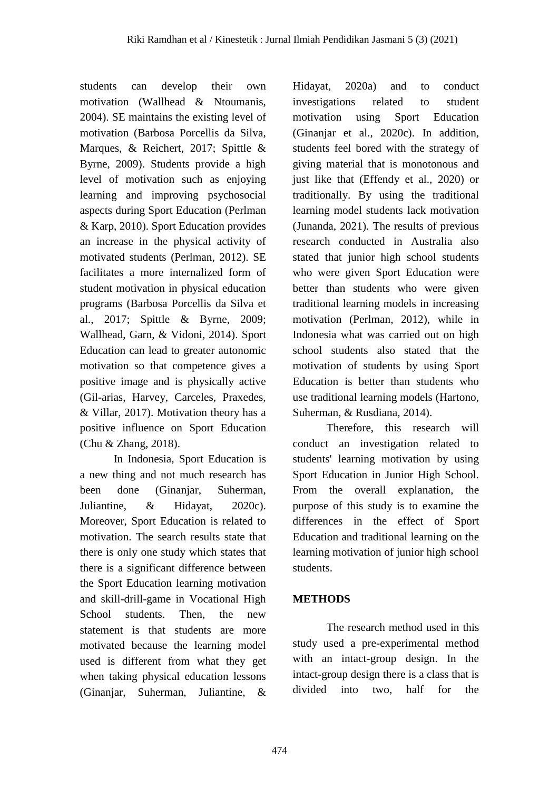students can develop their own motivation (Wallhead & Ntoumanis, 2004). SE maintains the existing level of motivation (Barbosa Porcellis da Silva, Marques, & Reichert, 2017; Spittle & Byrne, 2009). Students provide a high level of motivation such as enjoying learning and improving psychosocial aspects during Sport Education (Perlman & Karp, 2010). Sport Education provides an increase in the physical activity of motivated students (Perlman, 2012). SE facilitates a more internalized form of student motivation in physical education programs (Barbosa Porcellis da Silva et al., 2017; Spittle & Byrne, 2009; Wallhead, Garn, & Vidoni, 2014). Sport Education can lead to greater autonomic motivation so that competence gives a positive image and is physically active (Gil-arias, Harvey, Carceles, Praxedes, & Villar, 2017). Motivation theory has a positive influence on Sport Education (Chu & Zhang, 2018).

In Indonesia, Sport Education is a new thing and not much research has been done (Ginanjar, Suherman, Juliantine, & Hidayat, 2020c). Moreover, Sport Education is related to motivation. The search results state that there is only one study which states that there is a significant difference between the Sport Education learning motivation and skill-drill-game in Vocational High School students. Then, the new statement is that students are more motivated because the learning model used is different from what they get when taking physical education lessons (Ginanjar, Suherman, Juliantine, &

Hidayat, 2020a) and to conduct investigations related to student motivation using Sport Education (Ginanjar et al., 2020c). In addition, students feel bored with the strategy of giving material that is monotonous and just like that (Effendy et al., 2020) or traditionally. By using the traditional learning model students lack motivation (Junanda, 2021). The results of previous research conducted in Australia also stated that junior high school students who were given Sport Education were better than students who were given traditional learning models in increasing motivation (Perlman, 2012), while in Indonesia what was carried out on high school students also stated that the motivation of students by using Sport Education is better than students who use traditional learning models (Hartono, Suherman, & Rusdiana, 2014).

Therefore, this research will conduct an investigation related to students' learning motivation by using Sport Education in Junior High School. From the overall explanation, the purpose of this study is to examine the differences in the effect of Sport Education and traditional learning on the learning motivation of junior high school students.

# **METHODS**

The research method used in this study used a pre-experimental method with an intact-group design. In the intact-group design there is a class that is divided into two, half for the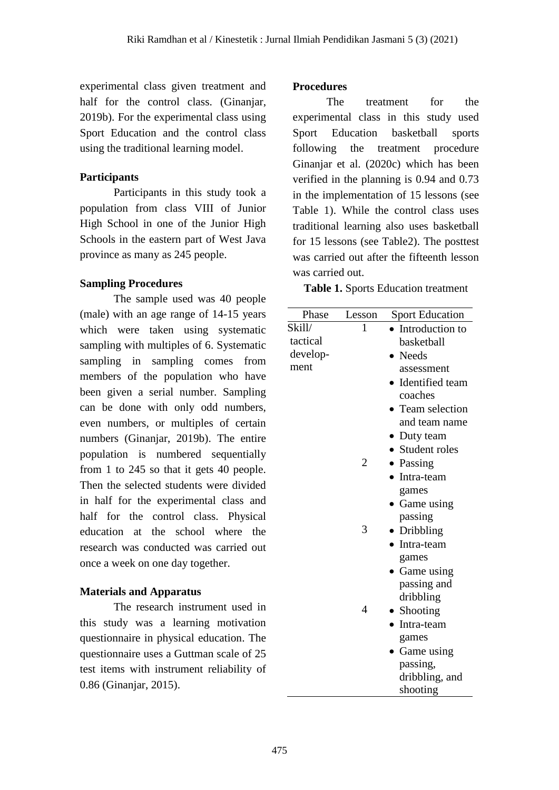experimental class given treatment and half for the control class. (Ginanjar, 2019b). For the experimental class using Sport Education and the control class using the traditional learning model.

# **Participants**

Participants in this study took a population from class VIII of Junior High School in one of the Junior High Schools in the eastern part of West Java province as many as 245 people.

# **Sampling Procedures**

The sample used was 40 people (male) with an age range of 14-15 years which were taken using systematic sampling with multiples of 6. Systematic sampling in sampling comes from members of the population who have been given a serial number. Sampling can be done with only odd numbers, even numbers, or multiples of certain numbers (Ginanjar, 2019b). The entire population is numbered sequentially from 1 to 245 so that it gets 40 people. Then the selected students were divided in half for the experimental class and half for the control class. Physical education at the school where the research was conducted was carried out once a week on one day together.

# **Materials and Apparatus**

The research instrument used in this study was a learning motivation questionnaire in physical education. The questionnaire uses a Guttman scale of 25 test items with instrument reliability of 0.86 (Ginanjar, 2015).

# **Procedures**

The treatment for the experimental class in this study used Sport Education basketball sports following the treatment procedure Ginanjar et al. (2020c) which has been verified in the planning is 0.94 and 0.73 in the implementation of 15 lessons (see Table 1). While the control class uses traditional learning also uses basketball for 15 lessons (see Table2). The posttest was carried out after the fifteenth lesson was carried out.

**Table 1.** Sports Education treatment

| Phase    | Lesson         | <b>Sport Education</b>    |  |  |
|----------|----------------|---------------------------|--|--|
| Skill/   | 1              | Introduction to           |  |  |
| tactical |                | basketball                |  |  |
| develop- |                | <b>Needs</b><br>$\bullet$ |  |  |
| ment     |                | assessment                |  |  |
|          |                | • Identified team         |  |  |
|          |                | coaches                   |  |  |
|          |                | • Team selection          |  |  |
|          |                | and team name             |  |  |
|          |                | • Duty team               |  |  |
|          |                | • Student roles           |  |  |
|          | $\overline{2}$ | • Passing                 |  |  |
|          |                | • Intra-team              |  |  |
|          |                | games                     |  |  |
|          |                | • Game using              |  |  |
|          |                | passing                   |  |  |
|          | 3              | • Dribbling               |  |  |
|          |                | Intra-team                |  |  |
|          |                | games                     |  |  |
|          |                | $\bullet$ Game using      |  |  |
|          |                | passing and               |  |  |
|          |                | dribbling                 |  |  |
|          | 4              | • Shooting                |  |  |
|          |                | • Intra-team              |  |  |
|          |                | games                     |  |  |
|          |                | • Game using              |  |  |
|          |                | passing,                  |  |  |
|          |                | dribbling, and            |  |  |
|          |                | shooting                  |  |  |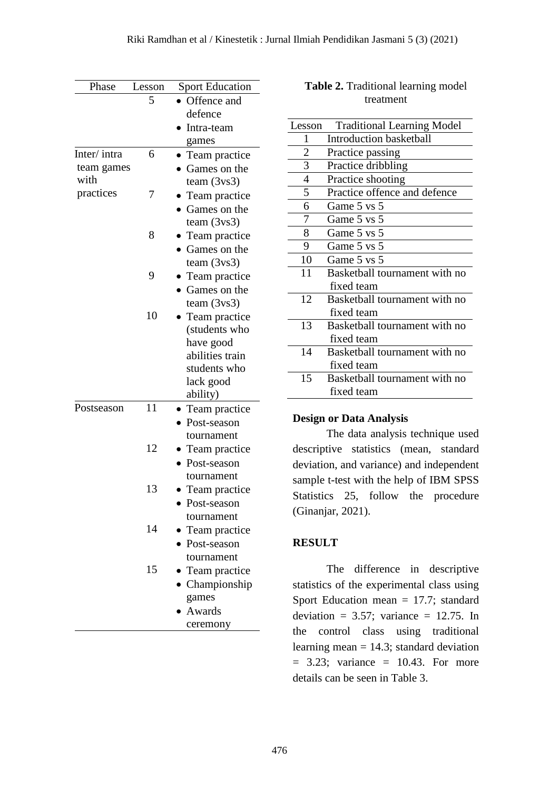| Phase            | Lesson | <b>Sport Education</b> |  |  |
|------------------|--------|------------------------|--|--|
|                  | 5      | Offence and            |  |  |
|                  |        | defence                |  |  |
|                  |        | Intra-team             |  |  |
|                  |        | games                  |  |  |
| Inter/intra<br>6 |        | • Team practice        |  |  |
| team games       |        | Games on the           |  |  |
| with             |        | team $(3\nu s3)$       |  |  |
| practices        | 7      | Team practice          |  |  |
|                  |        | Games on the           |  |  |
|                  |        | team $(3\nu s3)$       |  |  |
|                  | 8      | Team practice          |  |  |
|                  |        | Games on the           |  |  |
|                  |        | team $(3\nu s3)$       |  |  |
|                  | 9      | Team practice          |  |  |
|                  |        | Games on the           |  |  |
|                  |        | team $(3\nu s3)$       |  |  |
|                  | 10     | Team practice          |  |  |
|                  |        | (students who          |  |  |
|                  |        | have good              |  |  |
|                  |        | abilities train        |  |  |
|                  |        | students who           |  |  |
|                  |        | lack good              |  |  |
|                  |        | ability)               |  |  |
| Postseason       | 11     | • Team practice        |  |  |
|                  |        | Post-season            |  |  |
|                  |        | tournament             |  |  |
|                  | 12     | Team practice          |  |  |
|                  |        | Post-season            |  |  |
|                  |        | tournament             |  |  |
|                  | 13     | Team practice          |  |  |
|                  |        | • Post-season          |  |  |
|                  |        | tournament             |  |  |
|                  | 14     | Team practice          |  |  |
|                  |        | • Post-season          |  |  |
|                  |        | tournament             |  |  |
|                  | 15     | Team practice          |  |  |
|                  |        | Championship           |  |  |
|                  |        | games                  |  |  |
|                  |        | Awards                 |  |  |
|                  |        | ceremony               |  |  |

| <b>Table 2.</b> Traditional learning model |  |  |  |  |
|--------------------------------------------|--|--|--|--|
| treatment                                  |  |  |  |  |

| Lesson         | <b>Traditional Learning Model</b> |
|----------------|-----------------------------------|
| 1              | Introduction basketball           |
| 2              | Practice passing                  |
| 3              | Practice dribbling                |
| $\overline{4}$ | Practice shooting                 |
| 5              | Practice offence and defence      |
| 6              | Game 5 vs 5                       |
| 7              | Game 5 vs 5                       |
| 8              | Game 5 vs 5                       |
| 9              | Game 5 vs 5                       |
| 10             | Game 5 vs 5                       |
| 11             | Basketball tournament with no     |
|                | fixed team                        |
| 12             | Basketball tournament with no     |
|                | fixed team                        |
| 13             | Basketball tournament with no     |
|                | fixed team                        |
| 14             | Basketball tournament with no     |
|                | fixed team                        |
| 15             | Basketball tournament with no     |
|                | fixed team                        |

#### **Design or Data Analysis**

The data analysis technique used descriptive statistics (mean, standard deviation, and variance) and independent sample t-test with the help of IBM SPSS Statistics 25, follow the procedure (Ginanjar, 2021).

## **RESULT**

The difference in descriptive statistics of the experimental class using Sport Education mean  $= 17.7$ ; standard deviation =  $3.57$ ; variance = 12.75. In the control class using traditional learning mean  $= 14.3$ ; standard deviation  $= 3.23$ ; variance  $= 10.43$ . For more details can be seen in Table 3.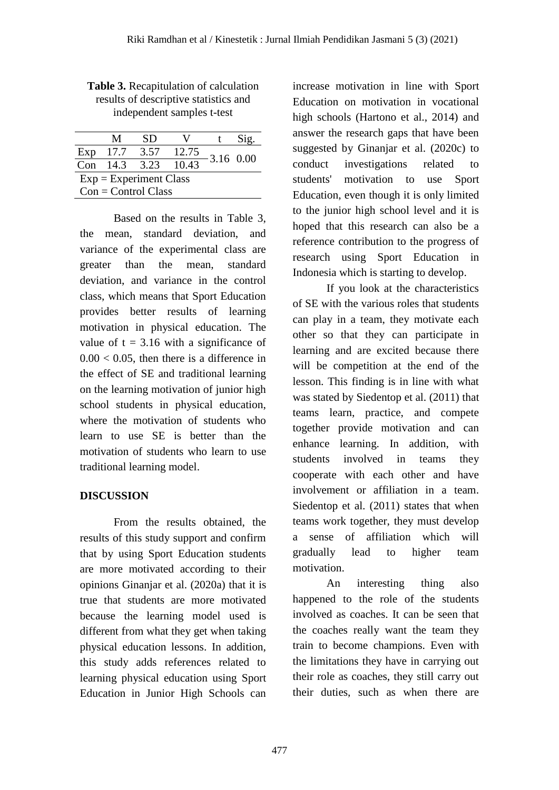|                          | M    | SD              |       |           |  |  |  |
|--------------------------|------|-----------------|-------|-----------|--|--|--|
| Exp                      | 17.7 | 3.57            | 12.75 | 3.16 0.00 |  |  |  |
|                          |      | Con $14.3$ 3.23 | 10.43 |           |  |  |  |
| $Exp = Experiment Class$ |      |                 |       |           |  |  |  |
| $Con = Control Class$    |      |                 |       |           |  |  |  |

**Table 3.** Recapitulation of calculation results of descriptive statistics and independent samples t-test

Based on the results in Table 3, the mean, standard deviation, and variance of the experimental class are greater than the mean, standard deviation, and variance in the control class, which means that Sport Education provides better results of learning motivation in physical education. The value of  $t = 3.16$  with a significance of  $0.00 < 0.05$ , then there is a difference in the effect of SE and traditional learning on the learning motivation of junior high school students in physical education, where the motivation of students who learn to use SE is better than the motivation of students who learn to use traditional learning model.

# **DISCUSSION**

From the results obtained, the results of this study support and confirm that by using Sport Education students are more motivated according to their opinions Ginanjar et al. (2020a) that it is true that students are more motivated because the learning model used is different from what they get when taking physical education lessons. In addition, this study adds references related to learning physical education using Sport Education in Junior High Schools can increase motivation in line with Sport Education on motivation in vocational high schools (Hartono et al., 2014) and answer the research gaps that have been suggested by Ginanjar et al. (2020c) to conduct investigations related to students' motivation to use Sport Education, even though it is only limited to the junior high school level and it is hoped that this research can also be a reference contribution to the progress of research using Sport Education in Indonesia which is starting to develop.

If you look at the characteristics of SE with the various roles that students can play in a team, they motivate each other so that they can participate in learning and are excited because there will be competition at the end of the lesson. This finding is in line with what was stated by Siedentop et al. (2011) that teams learn, practice, and compete together provide motivation and can enhance learning. In addition, with students involved in teams they cooperate with each other and have involvement or affiliation in a team. Siedentop et al. (2011) states that when teams work together, they must develop a sense of affiliation which will gradually lead to higher team motivation.

An interesting thing also happened to the role of the students involved as coaches. It can be seen that the coaches really want the team they train to become champions. Even with the limitations they have in carrying out their role as coaches, they still carry out their duties, such as when there are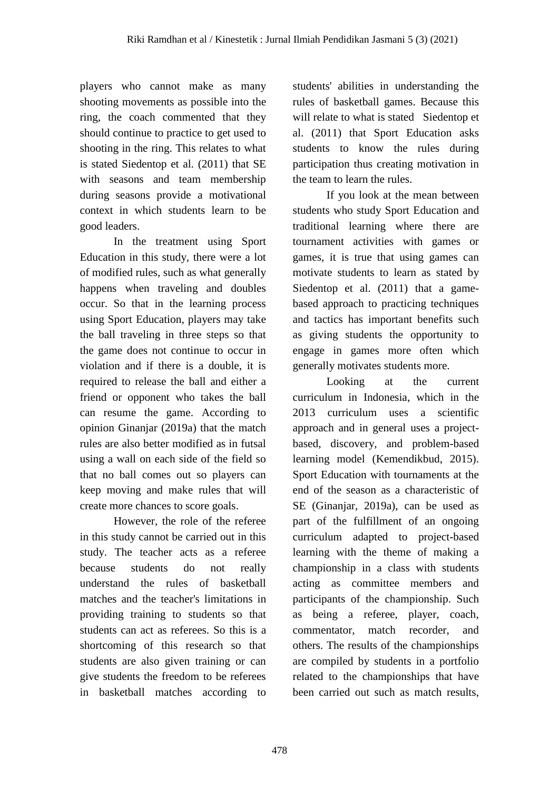players who cannot make as many shooting movements as possible into the ring, the coach commented that they should continue to practice to get used to shooting in the ring. This relates to what is stated Siedentop et al. (2011) that SE with seasons and team membership during seasons provide a motivational context in which students learn to be good leaders.

In the treatment using Sport Education in this study, there were a lot of modified rules, such as what generally happens when traveling and doubles occur. So that in the learning process using Sport Education, players may take the ball traveling in three steps so that the game does not continue to occur in violation and if there is a double, it is required to release the ball and either a friend or opponent who takes the ball can resume the game. According to opinion Ginanjar (2019a) that the match rules are also better modified as in futsal using a wall on each side of the field so that no ball comes out so players can keep moving and make rules that will create more chances to score goals.

However, the role of the referee in this study cannot be carried out in this study. The teacher acts as a referee because students do not really understand the rules of basketball matches and the teacher's limitations in providing training to students so that students can act as referees. So this is a shortcoming of this research so that students are also given training or can give students the freedom to be referees in basketball matches according to students' abilities in understanding the rules of basketball games. Because this will relate to what is stated Siedentop et al. (2011) that Sport Education asks students to know the rules during participation thus creating motivation in the team to learn the rules.

If you look at the mean between students who study Sport Education and traditional learning where there are tournament activities with games or games, it is true that using games can motivate students to learn as stated by Siedentop et al. (2011) that a gamebased approach to practicing techniques and tactics has important benefits such as giving students the opportunity to engage in games more often which generally motivates students more.

Looking at the current curriculum in Indonesia, which in the 2013 curriculum uses a scientific approach and in general uses a projectbased, discovery, and problem-based learning model (Kemendikbud, 2015). Sport Education with tournaments at the end of the season as a characteristic of SE (Ginanjar, 2019a), can be used as part of the fulfillment of an ongoing curriculum adapted to project-based learning with the theme of making a championship in a class with students acting as committee members and participants of the championship. Such as being a referee, player, coach, commentator, match recorder, and others. The results of the championships are compiled by students in a portfolio related to the championships that have been carried out such as match results,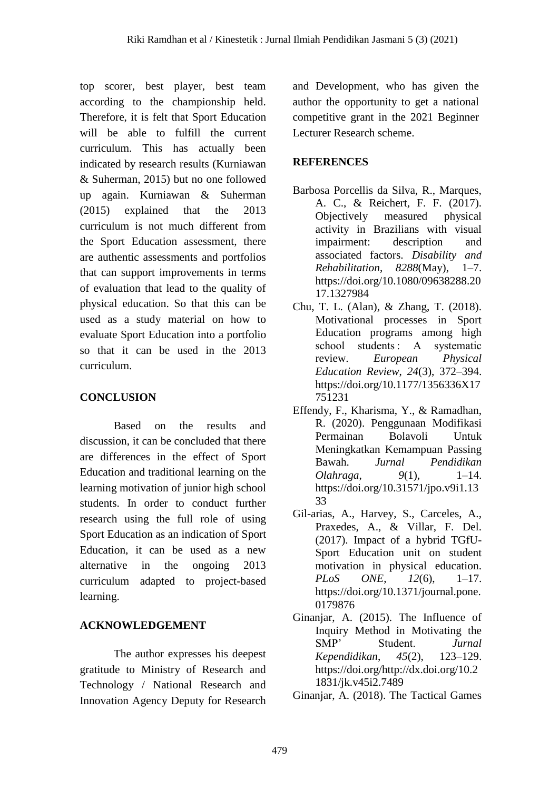top scorer, best player, best team according to the championship held. Therefore, it is felt that Sport Education will be able to fulfill the current curriculum. This has actually been indicated by research results (Kurniawan & Suherman, 2015) but no one followed up again. Kurniawan & Suherman (2015) explained that the 2013 curriculum is not much different from the Sport Education assessment, there are authentic assessments and portfolios that can support improvements in terms of evaluation that lead to the quality of physical education. So that this can be used as a study material on how to evaluate Sport Education into a portfolio so that it can be used in the 2013 curriculum.

# **CONCLUSION**

Based on the results and discussion, it can be concluded that there are differences in the effect of Sport Education and traditional learning on the learning motivation of junior high school students. In order to conduct further research using the full role of using Sport Education as an indication of Sport Education, it can be used as a new alternative in the ongoing 2013 curriculum adapted to project-based learning.

# **ACKNOWLEDGEMENT**

The author expresses his deepest gratitude to Ministry of Research and Technology / National Research and Innovation Agency Deputy for Research and Development, who has given the author the opportunity to get a national competitive grant in the 2021 Beginner Lecturer Research scheme.

# **REFERENCES**

- Barbosa Porcellis da Silva, R., Marques, A. C., & Reichert, F. F. (2017). Objectively measured physical activity in Brazilians with visual impairment: description and associated factors. *Disability and Rehabilitation*, *8288*(May), 1–7. https://doi.org/10.1080/09638288.20 17.1327984
- Chu, T. L. (Alan), & Zhang, T. (2018). Motivational processes in Sport Education programs among high school students : A systematic review. *European Physical Education Review*, *24*(3), 372–394. https://doi.org/10.1177/1356336X17 751231
- Effendy, F., Kharisma, Y., & Ramadhan, R. (2020). Penggunaan Modifikasi Permainan Bolavoli Untuk Meningkatkan Kemampuan Passing Bawah. *Jurnal Pendidikan Olahraga*, *9*(1), 1–14. https://doi.org/10.31571/jpo.v9i1.13 33
- Gil-arias, A., Harvey, S., Carceles, A., Praxedes, A., & Villar, F. Del. (2017). Impact of a hybrid TGfU-Sport Education unit on student motivation in physical education. *PLoS ONE*, *12*(6), 1–17. https://doi.org/10.1371/journal.pone. 0179876
- Ginanjar, A. (2015). The Influence of Inquiry Method in Motivating the SMP' Student. *Jurnal Kependidikan*, *45*(2), 123–129. https://doi.org/http://dx.doi.org/10.2 1831/jk.v45i2.7489
- Ginanjar, A. (2018). The Tactical Games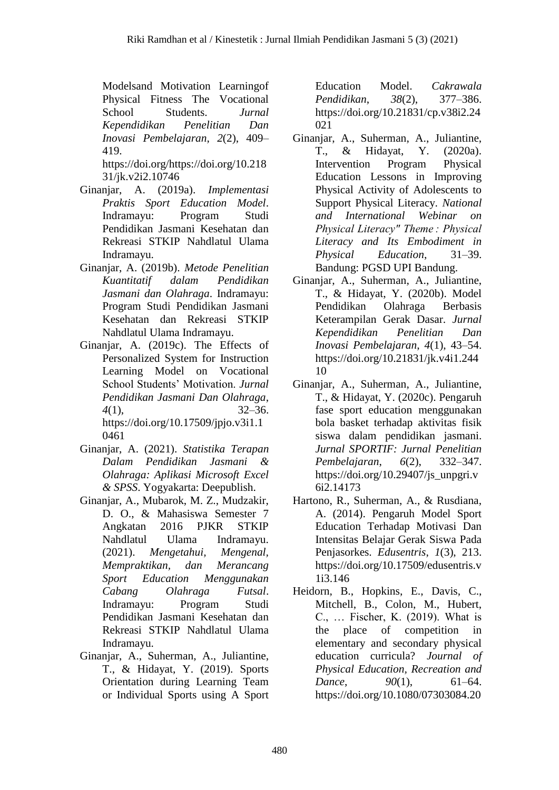Modelsand Motivation Learningof Physical Fitness The Vocational School Students. *Jurnal Kependidikan Penelitian Dan Inovasi Pembelajaran*, *2*(2), 409– 419.

https://doi.org/https://doi.org/10.218 31/jk.v2i2.10746

- Ginanjar, A. (2019a). *Implementasi Praktis Sport Education Model*. Indramayu: Program Studi Pendidikan Jasmani Kesehatan dan Rekreasi STKIP Nahdlatul Ulama Indramayu.
- Ginanjar, A. (2019b). *Metode Penelitian Kuantitatif dalam Pendidikan Jasmani dan Olahraga*. Indramayu: Program Studi Pendidikan Jasmani Kesehatan dan Rekreasi STKIP Nahdlatul Ulama Indramayu.
- Ginanjar, A. (2019c). The Effects of Personalized System for Instruction Learning Model on Vocational School Students' Motivation. *Jurnal Pendidikan Jasmani Dan Olahraga*, *4*(1), 32–36. https://doi.org/10.17509/jpjo.v3i1.1 0461
- Ginanjar, A. (2021). *Statistika Terapan Dalam Pendidikan Jasmani & Olahraga: Aplikasi Microsoft Excel & SPSS*. Yogyakarta: Deepublish.
- Ginanjar, A., Mubarok, M. Z., Mudzakir, D. O., & Mahasiswa Semester 7 Angkatan 2016 PJKR STKIP Nahdlatul Ulama Indramayu. (2021). *Mengetahui, Mengenal, Mempraktikan, dan Merancang Sport Education Menggunakan Cabang Olahraga Futsal*. Indramayu: Program Studi Pendidikan Jasmani Kesehatan dan Rekreasi STKIP Nahdlatul Ulama Indramayu.
- Ginanjar, A., Suherman, A., Juliantine, T., & Hidayat, Y. (2019). Sports Orientation during Learning Team or Individual Sports using A Sport

Education Model. *Cakrawala Pendidikan*, *38*(2), 377–386. https://doi.org/10.21831/cp.v38i2.24 021

- Ginanjar, A., Suherman, A., Juliantine, T., & Hidayat, Y. (2020a). Intervention Program Physical Education Lessons in Improving Physical Activity of Adolescents to Support Physical Literacy. *National and International Webinar on Physical Literacy" Theme : Physical Literacy and Its Embodiment in Physical Education*, 31–39. Bandung: PGSD UPI Bandung.
- Ginanjar, A., Suherman, A., Juliantine, T., & Hidayat, Y. (2020b). Model Pendidikan Olahraga Berbasis Keterampilan Gerak Dasar. *Jurnal Kependidikan Penelitian Dan Inovasi Pembelajaran*, *4*(1), 43–54. https://doi.org/10.21831/jk.v4i1.244 10
- Ginanjar, A., Suherman, A., Juliantine, T., & Hidayat, Y. (2020c). Pengaruh fase sport education menggunakan bola basket terhadap aktivitas fisik siswa dalam pendidikan jasmani. *Jurnal SPORTIF: Jurnal Penelitian Pembelajaran*, *6*(2), 332–347. https://doi.org/10.29407/js\_unpgri.v 6i2.14173
- Hartono, R., Suherman, A., & Rusdiana, A. (2014). Pengaruh Model Sport Education Terhadap Motivasi Dan Intensitas Belajar Gerak Siswa Pada Penjasorkes. *Edusentris*, *1*(3), 213. https://doi.org/10.17509/edusentris.v 1i3.146
- Heidorn, B., Hopkins, E., Davis, C., Mitchell, B., Colon, M., Hubert, C., … Fischer, K. (2019). What is the place of competition in elementary and secondary physical education curricula? *Journal of Physical Education, Recreation and Dance*, *90*(1), 61–64. https://doi.org/10.1080/07303084.20